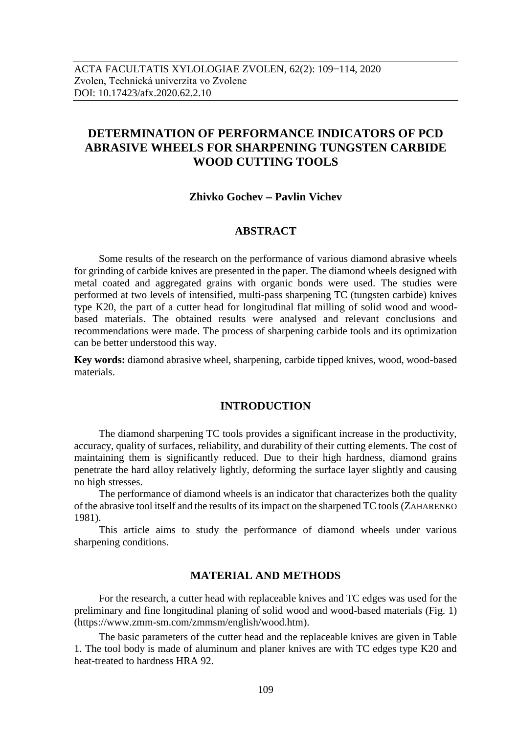# **DETERMINATION OF PERFORMANCE INDICATORS OF PCD ABRASIVE WHEELS FOR SHARPENING TUNGSTEN CARBIDE WOOD CUTTING TOOLS**

## **Zhivko Gochev – Pavlin Vichev**

## **ABSTRACT**

Some results of the research on the performance of various diamond abrasive wheels for grinding of carbide knives are presented in the paper. The diamond wheels designed with metal coated and aggregated grains with organic bonds were used. The studies were performed at two levels of intensified, multi-pass sharpening TC (tungsten carbide) knives type K20, the part of a cutter head for longitudinal flat milling of solid wood and woodbased materials. The obtained results were analysed and relevant conclusions and recommendations were made. The process of sharpening carbide tools and its optimization can be better understood this way.

**Key words:** diamond abrasive wheel, sharpening, carbide tipped knives, wood, wood-based materials.

## **INTRODUCTION**

The diamond sharpening TC tools provides a significant increase in the productivity, accuracy, quality of surfaces, reliability, and durability of their cutting elements. The cost of maintaining them is significantly reduced. Due to their high hardness, diamond grains penetrate the hard alloy relatively lightly, deforming the surface layer slightly and causing no high stresses.

The performance of diamond wheels is an indicator that characterizes both the quality of the abrasive tool itself and the results of its impact on the sharpened TC tools (ZAHARENKO 1981).

This article aims to study the performance of diamond wheels under various sharpening conditions.

#### **MATERIAL AND METHODS**

For the research, a cutter head with replaceable knives and TC edges was used for the preliminary and fine longitudinal planing of solid wood and wood-based materials (Fig. 1) [\(https://www.zmm-sm.com/zmmsm/english/wood.htm\)](https://www.zmm-sm.com/zmmsm/english/wood.htm).

The basic parameters of the cutter head and the replaceable knives are given in Table 1. The tool body is made of aluminum and planer knives are with TC edges type K20 and heat-treated to hardness HRA 92.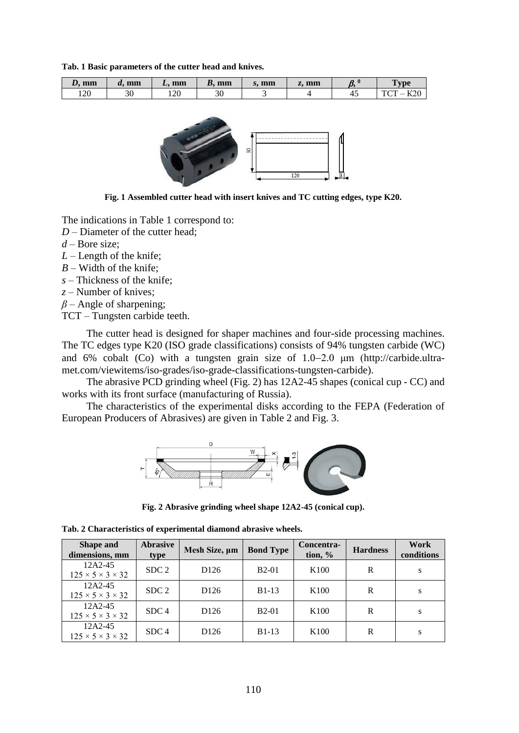**Tab. 1 Basic parameters of the cutter head and knives.**

| $\overline{\phantom{a}}$<br>mm<br>≖ | mm<br>и. | mm<br>$\overline{\phantom{a}}$ | mm<br>В.             | mm<br>، ور | mm<br>4.9 | c<br>,,, | $T$ vpe                                         |
|-------------------------------------|----------|--------------------------------|----------------------|------------|-----------|----------|-------------------------------------------------|
| 120                                 | ኃስ<br>υc | 1 $\cap$ $\cap$<br>⊥∠∪         | $\overline{c}$<br>υc |            |           | ∽−       | $L^{\sim}$<br>T <sub>0</sub><br>_<br>172 V<br>ິ |



**Fig. 1 Assembled cutter head with insert knives and TC cutting edges, type K20.**

The indications in Table 1 correspond to:

*D* – Diameter of the cutter head;

*d* – Bore size;

*L* – Length of the knife;

*B* – Width of the knife;

*s* – Thickness of the knife;

*z* – Number of knives;

*β* – Angle of sharpening;

TCT – Tungsten carbide teeth.

The cutter head is designed for shaper machines and four-side processing machines. The TC edges type K20 (ISO grade classifications) consists of 94% tungsten carbide (WC) and 6% cobalt (Co) with a tungsten grain size of  $1.0-2.0$  µm [\(http://carbide.ultra](http://carbide.ultra-met.com/viewitems/iso-grades/iso-grade-classifications-tungsten-carbide)[met.com/viewitems/iso-grades/iso-grade-classifications-tungsten-carbide\)](http://carbide.ultra-met.com/viewitems/iso-grades/iso-grade-classifications-tungsten-carbide).

The abrasive PCD grinding wheel (Fig. 2) has 12A2-45 shapes (conical cup - CC) and works with its front surface (manufacturing of Russia).

The characteristics of the experimental disks according to the FEPA (Federation of European Producers of Abrasives) are given in Table 2 and Fig. 3.



**Fig. 2 Abrasive grinding wheel shape 12A2-45 (conical cup).**

|  |  | Tab. 2 Characteristics of experimental diamond abrasive wheels. |  |  |  |  |  |
|--|--|-----------------------------------------------------------------|--|--|--|--|--|
|--|--|-----------------------------------------------------------------|--|--|--|--|--|

| Shape and<br>dimensions, mm                    | <b>Abrasive</b><br>type | Mesh Size, um    | <b>Bond Type</b> | Concentra-<br>tion, $\%$ | <b>Hardness</b> | Work<br>conditions |
|------------------------------------------------|-------------------------|------------------|------------------|--------------------------|-----------------|--------------------|
| 12A2-45<br>$125 \times 5 \times 3 \times 32$   | SDC <sub>2</sub>        | D <sub>126</sub> | $B2-01$          | K <sub>100</sub>         | R               | S                  |
| 12A2-45<br>$125 \times 5 \times 3 \times 32$   | SDC <sub>2</sub>        | D <sub>126</sub> | $B1-13$          | K <sub>100</sub>         | R               | S                  |
| $12A2-45$<br>$125 \times 5 \times 3 \times 32$ | SDC <sub>4</sub>        | D <sub>126</sub> | $B2-01$          | K <sub>100</sub>         | R               | S                  |
| 12A2-45<br>$125 \times 5 \times 3 \times 32$   | SDC <sub>4</sub>        | D <sub>126</sub> | $B1-13$          | K <sub>100</sub>         | R               | S                  |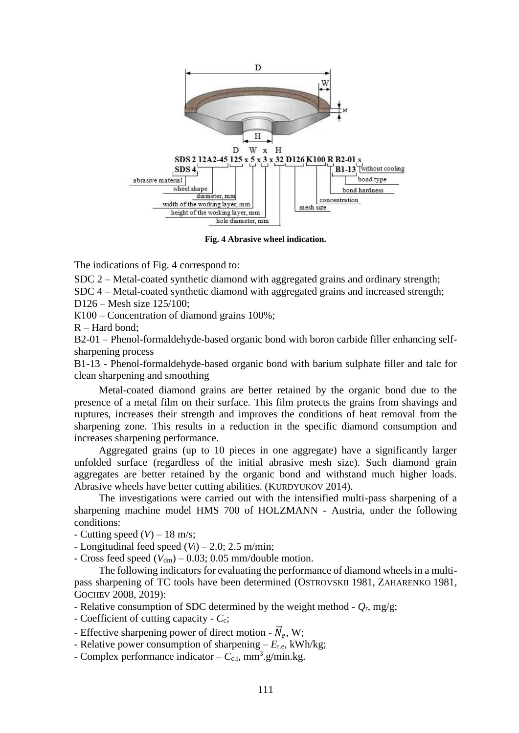

**Fig. 4 Abrasive wheel indication.**

The indications of Fig. 4 correspond to:

SDC 2 – Metal-coated synthetic diamond with aggregated grains and ordinary strength;

SDC 4 – Metal-coated synthetic diamond with aggregated grains and increased strength;

D126 – Mesh size 125/100;

К100 – Concentration of diamond grains 100%;

R – Hard bond;

B2-01 – Phenol-formaldehyde-based organic bond with boron carbide filler enhancing selfsharpening process

B1-13 - Phenol-formaldehyde-based organic bond with barium sulphate filler and talc for clean sharpening and smoothing

Metal-coated diamond grains are better retained by the organic bond due to the presence of a metal film on their surface. This film protects the grains from shavings and ruptures, increases their strength and improves the conditions of heat removal from the sharpening zone. This results in a reduction in the specific diamond consumption and increases sharpening performance.

Aggregated grains (up to 10 pieces in one aggregate) have a significantly larger unfolded surface (regardless of the initial abrasive mesh size). Such diamond grain aggregates are better retained by the organic bond and withstand much higher loads. Abrasive wheels have better cutting abilities. (KURDYUKOV 2014).

The investigations were carried out with the intensified multi-pass sharpening of a sharpening machine model HMS 700 of HOLZMANN - Austria, under the following conditions:

- Cutting speed  $(V)$  – 18 m/s;

- Longitudinal feed speed  $(V_1)$  – 2.0; 2.5 m/min;

- Cross feed speed  $(V_{dm})$  – 0.03; 0.05 mm/double motion.

The following indicators for evaluating the performance of diamond wheels in a multipass sharpening of TC tools have been determined (OSTROVSKII 1981, ZAHARENKO 1981, GOCHEV 2008, 2019):

- Relative consumption of SDC determined by the weight method - *Q*r*,* mg/g;

- Coefficient of cutting capacity - *C*c;

- Effective sharpening power of direct motion  $\vec{N}_e$ , W;
- Relative power consumption of sharpening *E*r.e, kWh/kg;
- Complex performance indicator  $-C_{c,i}$ , mm<sup>3</sup>.g/min.kg.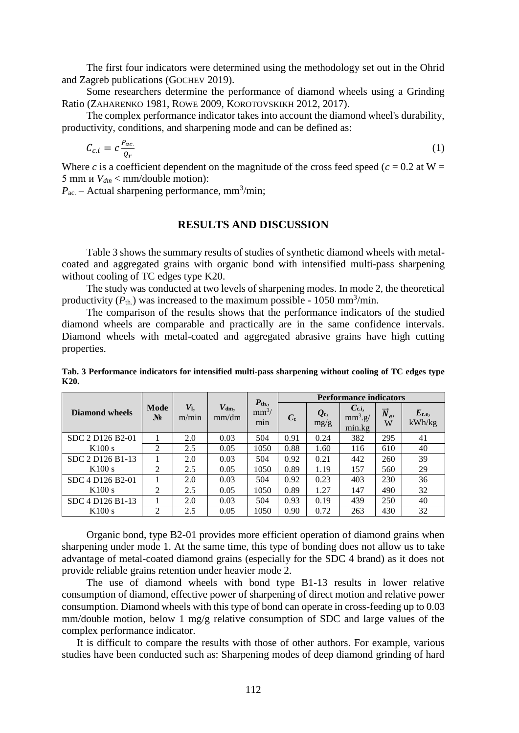The first four indicators were determined using the methodology set out in the Ohrid and Zagreb publications (GOCHEV 2019).

Some researchers determine the performance of diamond wheels using a Grinding Ratio (ZAHARENKO 1981, ROWE 2009, KOROTOVSKIKH 2012, 2017).

The complex performance indicator takes into account the diamond wheel's durability, productivity, conditions, and sharpening mode and can be defined as:

$$
C_{c.i} = c \frac{P_{ac.}}{Q_r} \tag{1}
$$

Where *c* is a coefficient dependent on the magnitude of the cross feed speed ( $c = 0.2$  at W = 5 mm и *Vdm* < mm/double motion):

 $P_{\text{ac}}$  – Actual sharpening performance, mm<sup>3</sup>/min;

## **RESULTS AND DISCUSSION**

Table 3 shows the summary results of studies of synthetic diamond wheels with metalcoated and aggregated grains with organic bond with intensified multi-pass sharpening without cooling of TC edges type K20.

The study was conducted at two levels of sharpening modes. In mode 2, the theoretical productivity  $(P_{th.})$  was increased to the maximum possible - 1050 mm<sup>3</sup>/min.

The comparison of the results shows that the performance indicators of the studied diamond wheels are comparable and practically are in the same confidence intervals. Diamond wheels with metal-coated and aggregated abrasive grains have high cutting properties.

| Tab. 3 Performance indicators for intensified multi-pass sharpening without cooling of TC edges type |  |  |  |  |
|------------------------------------------------------------------------------------------------------|--|--|--|--|
| K20.                                                                                                 |  |  |  |  |

|                  | Mode<br>$N_2$  | $V_{\rm l}$<br>m/min | $V_{dm}$<br>mm/dm | $P_{th.}$<br>$mm^3/$<br>m <sub>1</sub> n | <b>Performance indicators</b> |                        |                                   |                               |                      |  |
|------------------|----------------|----------------------|-------------------|------------------------------------------|-------------------------------|------------------------|-----------------------------------|-------------------------------|----------------------|--|
| Diamond wheels   |                |                      |                   |                                          | $C_{c}$                       | $\mathbf{Q}_r$<br>mg/g | $C_{c.i.}$<br>$mm^3.g/$<br>min.kg | $\overrightarrow{N}_{e}$<br>W | $E_{r.e.}$<br>kWh/kg |  |
| SDC 2 D126 B2-01 |                | 2.0                  | 0.03              | 504                                      | 0.91                          | 0.24                   | 382                               | 295                           | 41                   |  |
| K100 s           | $\mathfrak{D}$ | 2.5                  | 0.05              | 1050                                     | 0.88                          | 1.60                   | 116                               | 610                           | 40                   |  |
| SDC 2 D126 B1-13 |                | 2.0                  | 0.03              | 504                                      | 0.92                          | 0.21                   | 442                               | 260                           | 39                   |  |
| K100 s           | 2              | 2.5                  | 0.05              | 1050                                     | 0.89                          | 1.19                   | 157                               | 560                           | 29                   |  |
| SDC 4 D126 B2-01 |                | 2.0                  | 0.03              | 504                                      | 0.92                          | 0.23                   | 403                               | 230                           | 36                   |  |
| K100 s           | $\overline{2}$ | 2.5                  | 0.05              | 1050                                     | 0.89                          | 1.27                   | 147                               | 490                           | 32                   |  |
| SDC 4 D126 B1-13 |                | 2.0                  | 0.03              | 504                                      | 0.93                          | 0.19                   | 439                               | 250                           | 40                   |  |
| K100 s           | $\mathfrak{D}$ | 2.5                  | 0.05              | 1050                                     | 0.90                          | 0.72                   | 263                               | 430                           | 32                   |  |

Organic bond, type B2-01 provides more efficient operation of diamond grains when sharpening under mode 1. At the same time, this type of bonding does not allow us to take advantage of metal-coated diamond grains (especially for the SDC 4 brand) as it does not provide reliable grains retention under heavier mode 2.

The use of diamond wheels with bond type B1-13 results in lower relative consumption of diamond, effective power of sharpening of direct motion and relative power consumption. Diamond wheels with this type of bond can operate in cross-feeding up to 0.03 mm/double motion, below 1 mg/g relative consumption of SDC and large values of the complex performance indicator.

It is difficult to compare the results with those of other authors. For example, various studies have been conducted such as: Sharpening modes of deep diamond grinding of hard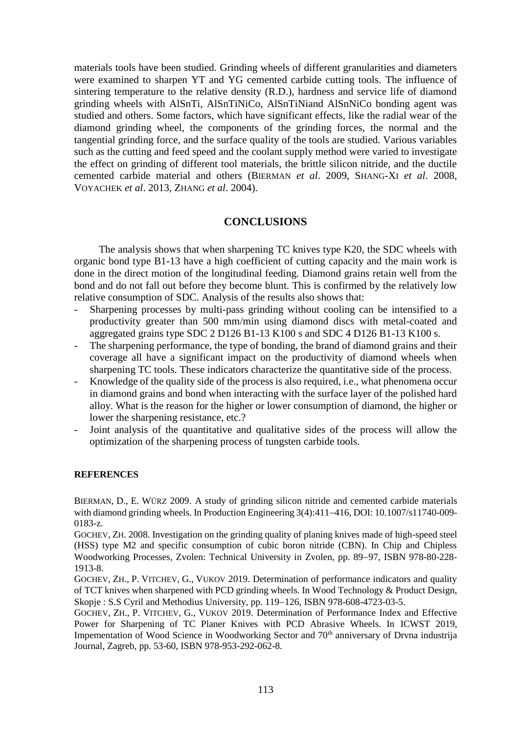materials tools have been studied. Grinding wheels of different granularities and diameters were examined to sharpen YT and YG cemented carbide cutting tools. The influence of sintering temperature to the relative density (R.D.), hardness and service life of diamond grinding wheels with AlSnTi, AlSnTiNiCo, AlSnTiNiand AlSnNiCo bonding agent was studied and others. Some factors, which have significant effects, like the radial wear of the diamond grinding wheel, the components of the grinding forces, the normal and the tangential grinding force, and the surface quality of the tools are studied. Various variables such as the cutting and feed speed and the coolant supply method were varied to investigate the effect on grinding of different tool materials, the brittle silicon nitride, and the ductile cemented carbide material and others (BIERMAN *et al*. 2009, SHANG-XI *et al*. 2008, VOYACHEK *et al*. 2013, ZHANG *et al*. 2004).

## **CONCLUSIONS**

The analysis shows that when sharpening TC knives type K20, the SDC wheels with organic bond type B1-13 have a high coefficient of cutting capacity and the main work is done in the direct motion of the longitudinal feeding. Diamond grains retain well from the bond and do not fall out before they become blunt. This is confirmed by the relatively low relative consumption of SDC. Analysis of the results also shows that:

- Sharpening processes by multi-pass grinding without cooling can be intensified to a productivity greater than 500 mm/min using diamond discs with metal-coated and aggregated grains type SDC 2 D126 B1-13 K100 s and SDC 4 D126 B1-13 K100 s.
- The sharpening performance, the type of bonding, the brand of diamond grains and their coverage all have a significant impact on the productivity of diamond wheels when sharpening TC tools. These indicators characterize the quantitative side of the process.
- Knowledge of the quality side of the process is also required, i.e., what phenomena occur in diamond grains and bond when interacting with the surface layer of the polished hard alloy. What is the reason for the higher or lower consumption of diamond, the higher or lower the sharpening resistance, etc.?
- Joint analysis of the quantitative and qualitative sides of the process will allow the optimization of the sharpening process of tungsten carbide tools.

#### **REFERENCES**

BIERMAN, D., E. WÜRZ 2009. A study of grinding silicon nitride and cemented carbide materials with diamond grinding wheels. In Production Engineering  $3(4):411-416$ , DOI:  $10.1007/s11740-009-$ 0183-z.

GOCHEV, ZH. 2008. Investigation on the grinding quality of planing knives made of high-speed steel (HSS) type M2 and specific consumption of cubic boron nitride (CBN). In Chip and Chipless Woodworking Processes, Zvolen: Technical University in Zvolen, pp. 89–97, ISBN 978-80-228-1913-8.

GOCHEV, ZH., P. VITCHEV, G., VUKOV 2019. Determination of performance indicators and quality of TCT knives when sharpened with PCD grinding wheels. In Wood Technology & Product Design, Skopje: S.S Cyril and Methodius University, pp. 119-126, ISBN 978-608-4723-03-5.

GOCHEV, ZH., P. VITCHEV, G., VUKOV 2019. Determination of Performance Index and Effective Power for Sharpening of TC Planer Knives with PCD Abrasive Wheels. In ICWST 2019, Impementation of Wood Science in Woodworking Sector and 70<sup>th</sup> anniversary of Drvna industrija Journal, Zagreb, pp. 53-60, ISBN 978-953-292-062-8.